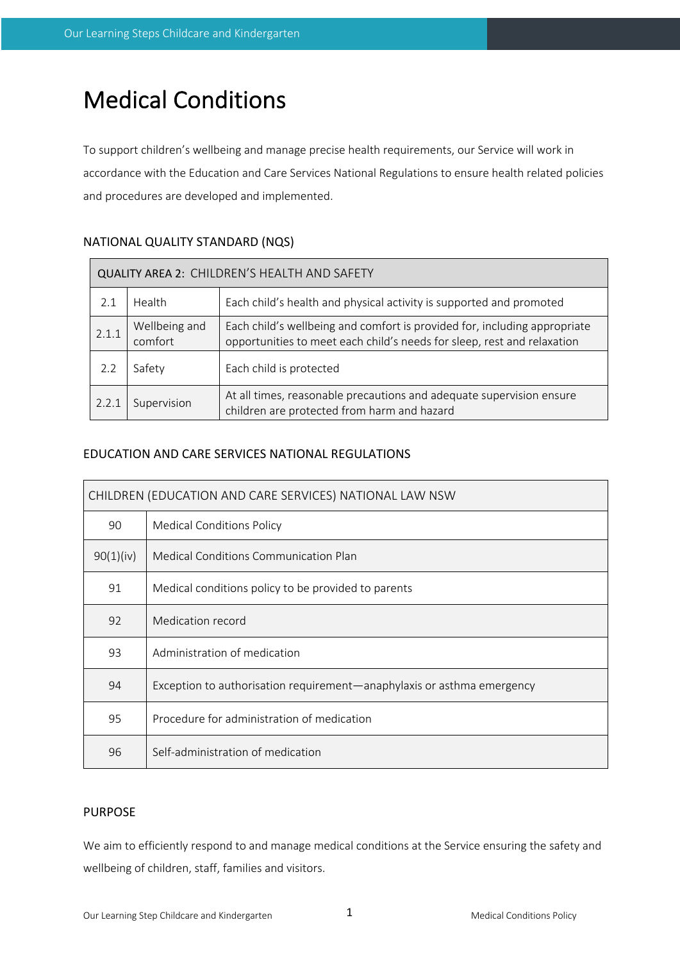# Medical Conditions

To support children's wellbeing and manage precise health requirements, our Service will work in accordance with the Education and Care Services National Regulations to ensure health related policies and procedures are developed and implemented.

| QUALITY AREA 2: CHILDREN'S HEALTH AND SAFETY |                                                                                                                                    |                                                                                                                                                      |  |  |  |
|----------------------------------------------|------------------------------------------------------------------------------------------------------------------------------------|------------------------------------------------------------------------------------------------------------------------------------------------------|--|--|--|
| 2.1                                          | Health                                                                                                                             | Each child's health and physical activity is supported and promoted                                                                                  |  |  |  |
| 2.1.1                                        | Wellbeing and<br>comfort                                                                                                           | Each child's wellbeing and comfort is provided for, including appropriate<br>opportunities to meet each child's needs for sleep, rest and relaxation |  |  |  |
| 2.2                                          | Safety                                                                                                                             | Each child is protected                                                                                                                              |  |  |  |
| 2.2.1                                        | At all times, reasonable precautions and adequate supervision ensure<br>Supervision<br>children are protected from harm and hazard |                                                                                                                                                      |  |  |  |

# NATIONAL QUALITY STANDARD (NQS)

# EDUCATION AND CARE SERVICES NATIONAL REGULATIONS

| CHILDREN (EDUCATION AND CARE SERVICES) NATIONAL LAW NSW |                                                                        |  |  |  |
|---------------------------------------------------------|------------------------------------------------------------------------|--|--|--|
| 90                                                      | <b>Medical Conditions Policy</b>                                       |  |  |  |
| 90(1)(iv)                                               | Medical Conditions Communication Plan                                  |  |  |  |
| 91                                                      | Medical conditions policy to be provided to parents                    |  |  |  |
| 92                                                      | Medication record                                                      |  |  |  |
| 93                                                      | Administration of medication                                           |  |  |  |
| 94                                                      | Exception to authorisation requirement—anaphylaxis or asthma emergency |  |  |  |
| 95                                                      | Procedure for administration of medication                             |  |  |  |
| 96                                                      | Self-administration of medication                                      |  |  |  |

# PURPOSE

We aim to efficiently respond to and manage medical conditions at the Service ensuring the safety and wellbeing of children, staff, families and visitors.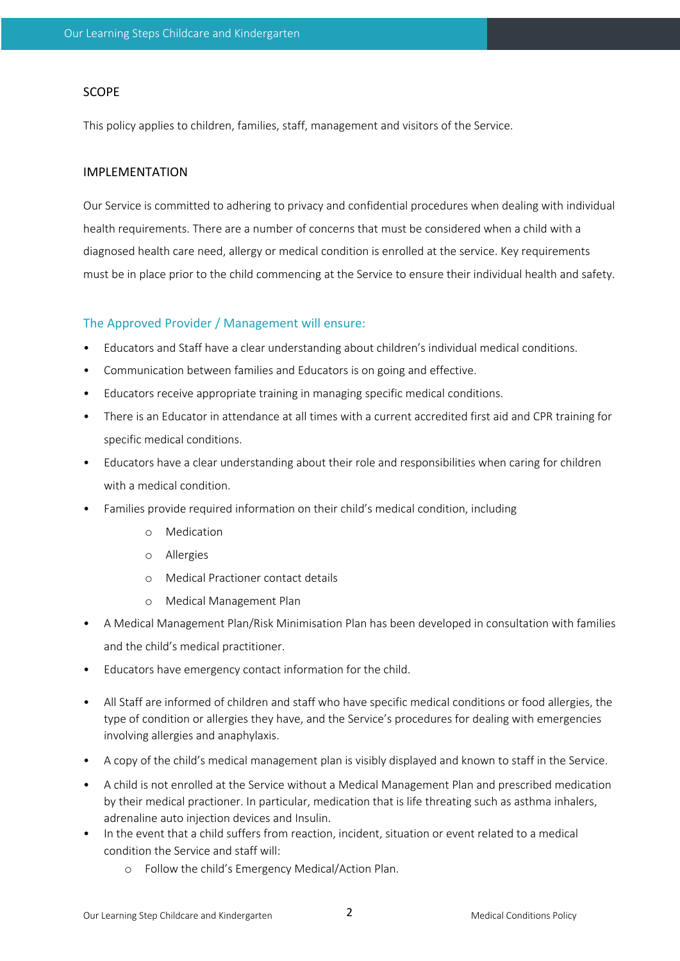#### SCOPE

This policy applies to children, families, staff, management and visitors of the Service.

### IMPLEMENTATION

Our Service is committed to adhering to privacy and confidential procedures when dealing with individual health requirements. There are a number of concerns that must be considered when a child with a diagnosed health care need, allergy or medical condition is enrolled at the service. Key requirements must be in place prior to the child commencing at the Service to ensure their individual health and safety.

#### The Approved Provider / Management will ensure:

- Educators and Staff have a clear understanding about children's individual medical conditions.
- Communication between families and Educators is on going and effective.
- Educators receive appropriate training in managing specific medical conditions.
- There is an Educator in attendance at all times with a current accredited first aid and CPR training for specific medical conditions.
- Educators have a clear understanding about their role and responsibilities when caring for children with a medical condition.
- Families provide required information on their child's medical condition, including
	- o Medication
	- o Allergies
	- o Medical Practioner contact details
	- o Medical Management Plan
- A Medical Management Plan/Risk Minimisation Plan has been developed in consultation with families and the child's medical practitioner.
- Educators have emergency contact information for the child.
- All Staff are informed of children and staff who have specific medical conditions or food allergies, the type of condition or allergies they have, and the Service's procedures for dealing with emergencies involving allergies and anaphylaxis.
- A copy of the child's medical management plan is visibly displayed and known to staff in the Service.
- A child is not enrolled at the Service without a Medical Management Plan and prescribed medication by their medical practioner. In particular, medication that is life threating such as asthma inhalers, adrenaline auto injection devices and Insulin.
- In the event that a child suffers from reaction, incident, situation or event related to a medical condition the Service and staff will:
	- o Follow the child's Emergency Medical/Action Plan.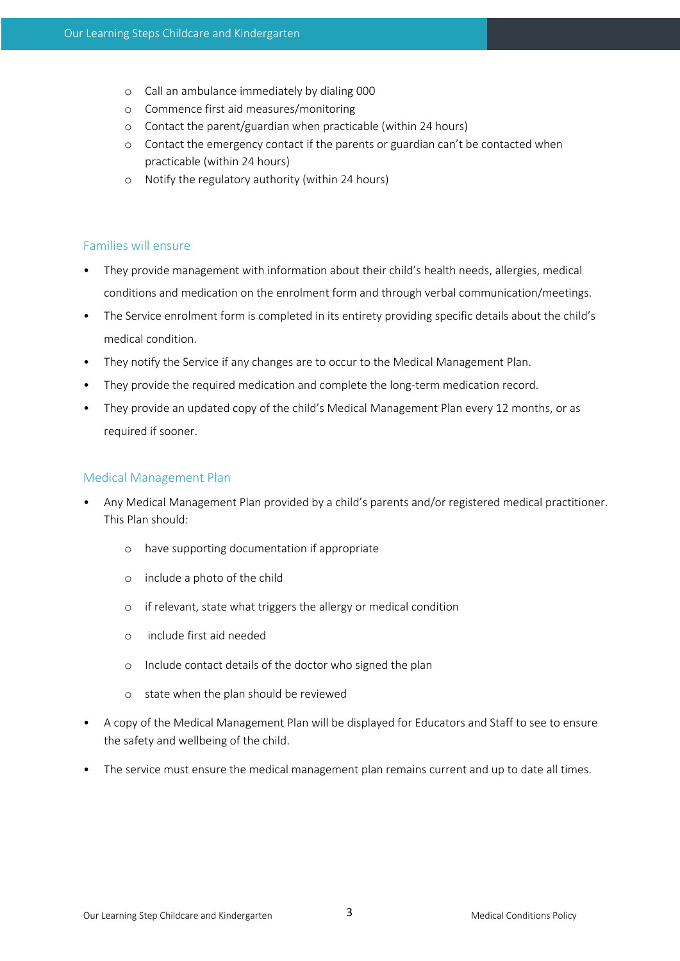- o Call an ambulance immediately by dialing 000
- o Commence first aid measures/monitoring
- o Contact the parent/guardian when practicable (within 24 hours)
- o Contact the emergency contact if the parents or guardian can't be contacted when practicable (within 24 hours)
- o Notify the regulatory authority (within 24 hours)

## Families will ensure

- They provide management with information about their child's health needs, allergies, medical conditions and medication on the enrolment form and through verbal communication/meetings.
- The Service enrolment form is completed in its entirety providing specific details about the child's medical condition.
- They notify the Service if any changes are to occur to the Medical Management Plan.
- They provide the required medication and complete the long-term medication record.
- They provide an updated copy of the child's Medical Management Plan every 12 months, or as required if sooner.

## Medical Management Plan

- Any Medical Management Plan provided by a child's parents and/or registered medical practitioner. This Plan should:
	- o have supporting documentation if appropriate
	- o include a photo of the child
	- o if relevant, state what triggers the allergy or medical condition
	- o include first aid needed
	- o Include contact details of the doctor who signed the plan
	- o state when the plan should be reviewed
- A copy of the Medical Management Plan will be displayed for Educators and Staff to see to ensure the safety and wellbeing of the child.
- The service must ensure the medical management plan remains current and up to date all times.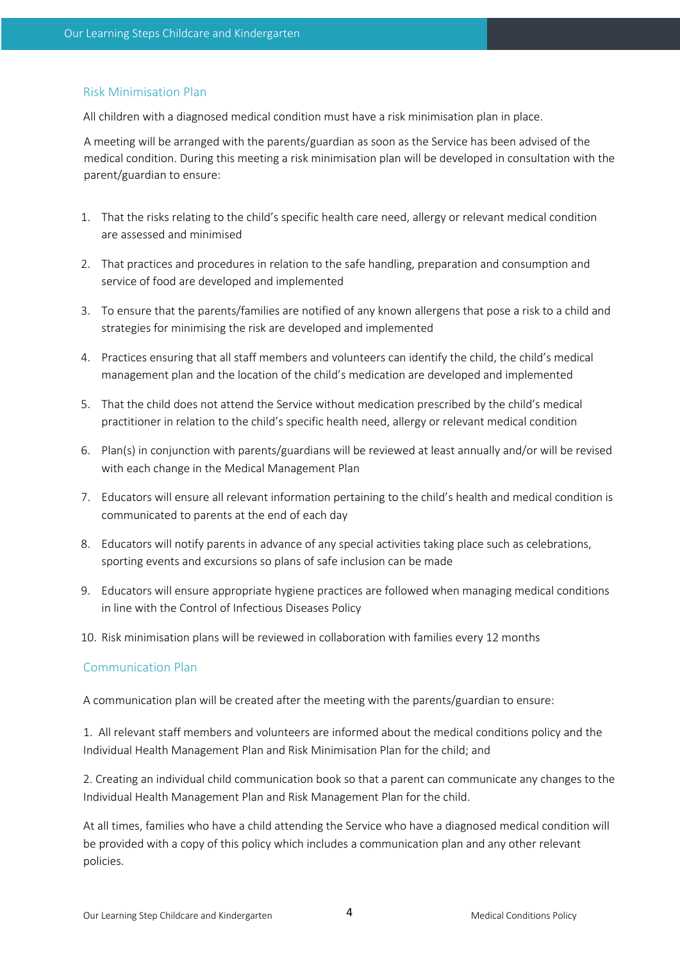## Risk Minimisation Plan

All children with a diagnosed medical condition must have a risk minimisation plan in place.

A meeting will be arranged with the parents/guardian as soon as the Service has been advised of the medical condition. During this meeting a risk minimisation plan will be developed in consultation with the parent/guardian to ensure:

- 1. That the risks relating to the child's specific health care need, allergy or relevant medical condition are assessed and minimised
- 2. That practices and procedures in relation to the safe handling, preparation and consumption and service of food are developed and implemented
- 3. To ensure that the parents/families are notified of any known allergens that pose a risk to a child and strategies for minimising the risk are developed and implemented
- 4. Practices ensuring that all staff members and volunteers can identify the child, the child's medical management plan and the location of the child's medication are developed and implemented
- 5. That the child does not attend the Service without medication prescribed by the child's medical practitioner in relation to the child's specific health need, allergy or relevant medical condition
- 6. Plan(s) in conjunction with parents/guardians will be reviewed at least annually and/or will be revised with each change in the Medical Management Plan
- 7. Educators will ensure all relevant information pertaining to the child's health and medical condition is communicated to parents at the end of each day
- 8. Educators will notify parents in advance of any special activities taking place such as celebrations, sporting events and excursions so plans of safe inclusion can be made
- 9. Educators will ensure appropriate hygiene practices are followed when managing medical conditions in line with the Control of Infectious Diseases Policy
- 10. Risk minimisation plans will be reviewed in collaboration with families every 12 months

#### Communication Plan

A communication plan will be created after the meeting with the parents/guardian to ensure:

1. All relevant staff members and volunteers are informed about the medical conditions policy and the Individual Health Management Plan and Risk Minimisation Plan for the child; and

2. Creating an individual child communication book so that a parent can communicate any changes to the Individual Health Management Plan and Risk Management Plan for the child.

At all times, families who have a child attending the Service who have a diagnosed medical condition will be provided with a copy of this policy which includes a communication plan and any other relevant policies.